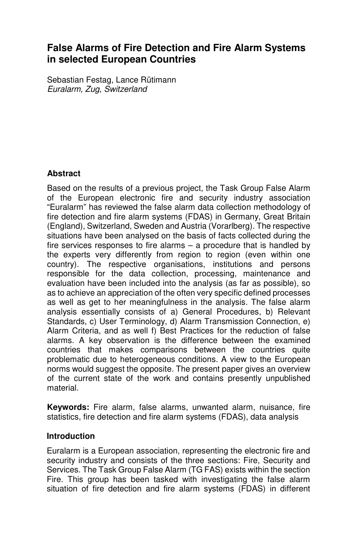# **False Alarms of Fire Detection and Fire Alarm Systems in selected European Countries**

Sebastian Festag, Lance Rütimann Euralarm, Zug, Switzerland

### **Abstract**

Based on the results of a previous project, the Task Group False Alarm of the European electronic fire and security industry association "Euralarm" has reviewed the false alarm data collection methodology of fire detection and fire alarm systems (FDAS) in Germany, Great Britain (England), Switzerland, Sweden and Austria (Vorarlberg). The respective situations have been analysed on the basis of facts collected during the fire services responses to fire alarms – a procedure that is handled by the experts very differently from region to region (even within one country). The respective organisations, institutions and persons responsible for the data collection, processing, maintenance and evaluation have been included into the analysis (as far as possible), so as to achieve an appreciation of the often very specific defined processes as well as get to her meaningfulness in the analysis. The false alarm analysis essentially consists of a) General Procedures, b) Relevant Standards, c) User Terminology, d) Alarm Transmission Connection, e) Alarm Criteria, and as well f) Best Practices for the reduction of false alarms. A key observation is the difference between the examined countries that makes comparisons between the countries quite problematic due to heterogeneous conditions. A view to the European norms would suggest the opposite. The present paper gives an overview of the current state of the work and contains presently unpublished material.

**Keywords:** Fire alarm, false alarms, unwanted alarm, nuisance, fire statistics, fire detection and fire alarm systems (FDAS), data analysis

### **Introduction**

Euralarm is a European association, representing the electronic fire and security industry and consists of the three sections: Fire, Security and Services. The Task Group False Alarm (TG FAS) exists within the section Fire. This group has been tasked with investigating the false alarm situation of fire detection and fire alarm systems (FDAS) in different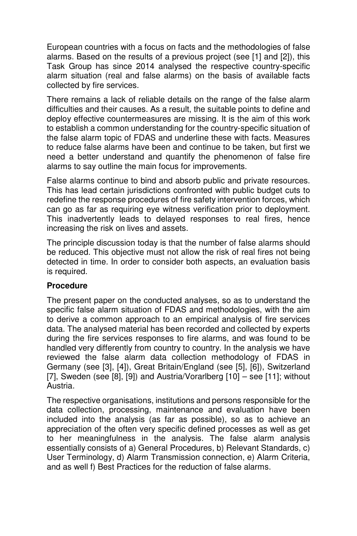European countries with a focus on facts and the methodologies of false alarms. Based on the results of a previous project (see [1] and [2]), this Task Group has since 2014 analysed the respective country-specific alarm situation (real and false alarms) on the basis of available facts collected by fire services.

There remains a lack of reliable details on the range of the false alarm difficulties and their causes. As a result, the suitable points to define and deploy effective countermeasures are missing. It is the aim of this work to establish a common understanding for the country-specific situation of the false alarm topic of FDAS and underline these with facts. Measures to reduce false alarms have been and continue to be taken, but first we need a better understand and quantify the phenomenon of false fire alarms to say outline the main focus for improvements.

False alarms continue to bind and absorb public and private resources. This has lead certain jurisdictions confronted with public budget cuts to redefine the response procedures of fire safety intervention forces, which can go as far as requiring eye witness verification prior to deployment. This inadvertently leads to delayed responses to real fires, hence increasing the risk on lives and assets.

The principle discussion today is that the number of false alarms should be reduced. This objective must not allow the risk of real fires not being detected in time. In order to consider both aspects, an evaluation basis is required.

# **Procedure**

The present paper on the conducted analyses, so as to understand the specific false alarm situation of FDAS and methodologies, with the aim to derive a common approach to an empirical analysis of fire services data. The analysed material has been recorded and collected by experts during the fire services responses to fire alarms, and was found to be handled very differently from country to country. In the analysis we have reviewed the false alarm data collection methodology of FDAS in Germany (see [3], [4]), Great Britain/England (see [5], [6]), Switzerland [7], Sweden (see [8], [9]) and Austria/Vorarlberg [10] – see [11]; without Austria.

The respective organisations, institutions and persons responsible for the data collection, processing, maintenance and evaluation have been included into the analysis (as far as possible), so as to achieve an appreciation of the often very specific defined processes as well as get to her meaningfulness in the analysis. The false alarm analysis essentially consists of a) General Procedures, b) Relevant Standards, c) User Terminology, d) Alarm Transmission connection, e) Alarm Criteria, and as well f) Best Practices for the reduction of false alarms.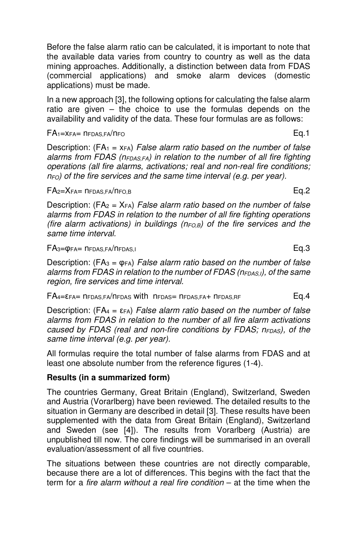Before the false alarm ratio can be calculated, it is important to note that the available data varies from country to country as well as the data mining approaches. Additionally, a distinction between data from FDAS (commercial applications) and smoke alarm devices (domestic applications) must be made.

In a new approach [3], the following options for calculating the false alarm ratio are given – the choice to use the formulas depends on the availability and validity of the data. These four formulas are as follows:

$$
FA_1 = x_{FA} = n_{FDAS,FA}/n_{FO}
$$
 Eq.1

Description: ( $FA_1 = x_{FA}$ ) False alarm ratio based on the number of false alarms from FDAS ( $n_{FDAS,FA}$ ) in relation to the number of all fire fighting operations (all fire alarms, activations; real and non-real fire conditions;  $n_{FO}$ ) of the fire services and the same time interval (e.g. per year).

#### $FA<sub>2</sub>=X<sub>FA</sub>=n<sub>FDAS,FA</sub>/n<sub>FO,B</sub>$  Eq.2

Description: (FA<sub>2</sub> =  $X_{FA}$ ) False alarm ratio based on the number of false alarms from FDAS in relation to the number of all fire fighting operations (fire alarm activations) in buildings ( $n_{FO,B}$ ) of the fire services and the same time interval.

$$
FA_3 = \varphi_{FA} = n_{FDAS,FA}/n_{FDAS,1}
$$

Description: (FA<sub>3</sub> =  $\varphi$ <sub>FA</sub>) False alarm ratio based on the number of false alarms from FDAS in relation to the number of FDAS ( $n_{FDAS,l}$ ), of the same region, fire services and time interval.

$$
FA_4 = \varepsilon_{FA} = n_{FDAS,FA}/n_{FDAS} \text{ with } n_{FDAS} = n_{FDAS,FA} + n_{FDAS,RF}
$$

Description: (FA<sub>4</sub> =  $\epsilon$ <sub>FA</sub>) False alarm ratio based on the number of false alarms from FDAS in relation to the number of all fire alarm activations caused by FDAS (real and non-fire conditions by FDAS;  $n_{FDAS}$ ), of the same time interval (e.g. per year).

All formulas require the total number of false alarms from FDAS and at least one absolute number from the reference figures (1-4).

### **Results (in a summarized form)**

The countries Germany, Great Britain (England), Switzerland, Sweden and Austria (Vorarlberg) have been reviewed. The detailed results to the situation in Germany are described in detail [3]. These results have been supplemented with the data from Great Britain (England), Switzerland and Sweden (see [4]). The results from Vorarlberg (Austria) are unpublished till now. The core findings will be summarised in an overall evaluation/assessment of all five countries.

The situations between these countries are not directly comparable, because there are a lot of differences. This begins with the fact that the term for a fire alarm without a real fire condition – at the time when the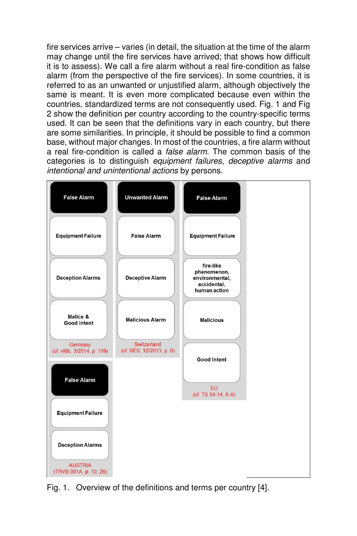fire services arrive – varies (in detail, the situation at the time of the alarm may change until the fire services have arrived; that shows how difficult it is to assess). We call a fire alarm without a real fire-condition as false alarm (from the perspective of the fire services). In some countries, it is referred to as an unwanted or unjustified alarm, although objectively the same is meant. It is even more complicated because even within the countries, standardized terms are not consequently used. Fig. 1 and Fig 2 show the definition per country according to the country-specific terms used. It can be seen that the definitions vary in each country, but there are some similarities. In principle, it should be possible to find a common base, without major changes. In most of the countries, a fire alarm without a real fire-condition is called a false alarm. The common basis of the categories is to distinguish equipment failures, deceptive alarms and intentional and unintentional actions by persons.



Fig. 1. Overview of the definitions and terms per country [4].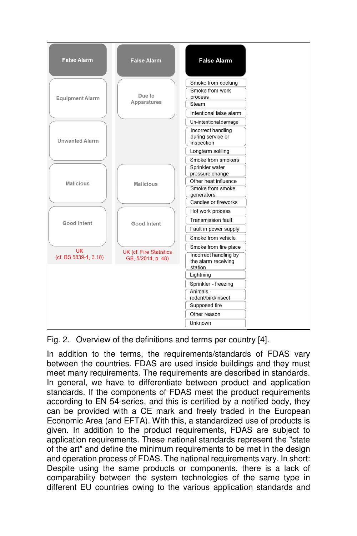

Fig. 2. Overview of the definitions and terms per country [4].

In addition to the terms, the requirements/standards of FDAS vary between the countries. FDAS are used inside buildings and they must meet many requirements. The requirements are described in standards. In general, we have to differentiate between product and application standards. If the components of FDAS meet the product requirements according to EN 54-series, and this is certified by a notified body, they can be provided with a CE mark and freely traded in the European Economic Area (and EFTA). With this, a standardized use of products is given. In addition to the product requirements, FDAS are subject to application requirements. These national standards represent the "state of the art" and define the minimum requirements to be met in the design and operation process of FDAS. The national requirements vary. In short: Despite using the same products or components, there is a lack of comparability between the system technologies of the same type in different EU countries owing to the various application standards and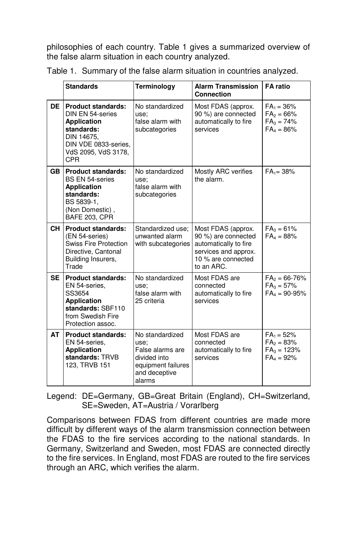philosophies of each country. Table 1 gives a summarized overview of the false alarm situation in each country analyzed.

|           | <b>Standards</b>                                                                                                                                             | Terminology                                                                                                  | <b>Alarm Transmission</b><br><b>Connection</b>                                                                                 | <b>FA</b> ratio                                                 |
|-----------|--------------------------------------------------------------------------------------------------------------------------------------------------------------|--------------------------------------------------------------------------------------------------------------|--------------------------------------------------------------------------------------------------------------------------------|-----------------------------------------------------------------|
| <b>DE</b> | <b>Product standards:</b><br>DIN EN 54-series<br><b>Application</b><br>standards:<br>DIN 14675.<br>DIN VDE 0833-series,<br>VdS 2095, VdS 3178,<br><b>CPR</b> | No standardized<br>use:<br>false alarm with<br>subcategories                                                 | Most FDAS (approx.<br>90 %) are connected<br>automatically to fire<br>services                                                 | $FA_1 = 36\%$<br>$FA2 = 66%$<br>$FA_3 = 74\%$<br>$FA_4 = 86\%$  |
| <b>GB</b> | <b>Product standards:</b><br><b>BS EN 54-series</b><br><b>Application</b><br>standards:<br>BS 5839-1.<br>(Non Domestic),<br><b>BAFE 203, CPR</b>             | No standardized<br>use:<br>false alarm with<br>subcategories                                                 | Mostly ARC verifies<br>the alarm.                                                                                              | $FA_1 = 38\%$                                                   |
| CH I      | <b>Product standards:</b><br>(EN 54-series)<br><b>Swiss Fire Protection</b><br>Directive, Cantonal<br>Building Insurers,<br>Trade                            | Standardized use:<br>unwanted alarm<br>with subcategories                                                    | Most FDAS (approx.<br>90 %) are connected<br>automatically to fire<br>services and approx.<br>10 % are connected<br>to an ARC. | $FA_3 = 61\%$<br>$FA_4 = 88%$                                   |
| <b>SE</b> | <b>Product standards:</b><br>EN 54-series.<br>SS3654<br><b>Application</b><br>standards: SBF110<br>from Swedish Fire<br>Protection assoc.                    | No standardized<br>use:<br>false alarm with<br>25 criteria                                                   | Most FDAS are<br>connected<br>automatically to fire<br>services                                                                | $FA_2 = 66 - 76%$<br>$FA_3 = 57\%$<br>$FA_4 = 90-95\%$          |
| AT        | <b>Product standards:</b><br>EN 54-series.<br><b>Application</b><br>standards: TRVB<br>123, TRVB 151                                                         | No standardized<br>use:<br>False alarms are<br>divided into<br>equipment failures<br>and deceptive<br>alarms | Most FDAS are<br>connected<br>automatically to fire<br>services                                                                | $FA_1 = 52\%$<br>$FA_2 = 83%$<br>$FA_3 = 123%$<br>$FA_4 = 92\%$ |

Table 1. Summary of the false alarm situation in countries analyzed.

Legend: DE=Germany, GB=Great Britain (England), CH=Switzerland, SE=Sweden, AT=Austria / Vorarlberg

Comparisons between FDAS from different countries are made more difficult by different ways of the alarm transmission connection between the FDAS to the fire services according to the national standards. In Germany, Switzerland and Sweden, most FDAS are connected directly to the fire services. In England, most FDAS are routed to the fire services through an ARC, which verifies the alarm.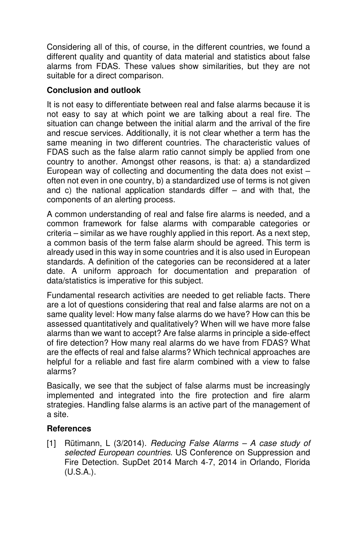Considering all of this, of course, in the different countries, we found a different quality and quantity of data material and statistics about false alarms from FDAS. These values show similarities, but they are not suitable for a direct comparison.

# **Conclusion and outlook**

It is not easy to differentiate between real and false alarms because it is not easy to say at which point we are talking about a real fire. The situation can change between the initial alarm and the arrival of the fire and rescue services. Additionally, it is not clear whether a term has the same meaning in two different countries. The characteristic values of FDAS such as the false alarm ratio cannot simply be applied from one country to another. Amongst other reasons, is that: a) a standardized European way of collecting and documenting the data does not exist – often not even in one country, b) a standardized use of terms is not given and c) the national application standards differ  $-$  and with that, the components of an alerting process.

A common understanding of real and false fire alarms is needed, and a common framework for false alarms with comparable categories or criteria – similar as we have roughly applied in this report. As a next step, a common basis of the term false alarm should be agreed. This term is already used in this way in some countries and it is also used in European standards. A definition of the categories can be reconsidered at a later date. A uniform approach for documentation and preparation of data/statistics is imperative for this subject.

Fundamental research activities are needed to get reliable facts. There are a lot of questions considering that real and false alarms are not on a same quality level: How many false alarms do we have? How can this be assessed quantitatively and qualitatively? When will we have more false alarms than we want to accept? Are false alarms in principle a side-effect of fire detection? How many real alarms do we have from FDAS? What are the effects of real and false alarms? Which technical approaches are helpful for a reliable and fast fire alarm combined with a view to false alarms?

Basically, we see that the subject of false alarms must be increasingly implemented and integrated into the fire protection and fire alarm strategies. Handling false alarms is an active part of the management of a site.

# **References**

[1] Rütimann, L (3/2014). Reducing False Alarms - A case study of selected European countries. US Conference on Suppression and Fire Detection. SupDet 2014 March 4-7, 2014 in Orlando, Florida (U.S.A.).